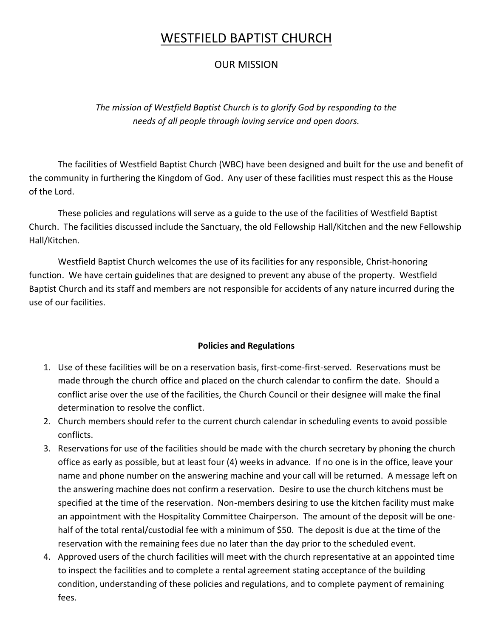# WESTFIELD BAPTIST CHURCH

### OUR MISSION

*The mission of Westfield Baptist Church is to glorify God by responding to the needs of all people through loving service and open doors.*

The facilities of Westfield Baptist Church (WBC) have been designed and built for the use and benefit of the community in furthering the Kingdom of God. Any user of these facilities must respect this as the House of the Lord.

These policies and regulations will serve as a guide to the use of the facilities of Westfield Baptist Church. The facilities discussed include the Sanctuary, the old Fellowship Hall/Kitchen and the new Fellowship Hall/Kitchen.

Westfield Baptist Church welcomes the use of its facilities for any responsible, Christ-honoring function. We have certain guidelines that are designed to prevent any abuse of the property. Westfield Baptist Church and its staff and members are not responsible for accidents of any nature incurred during the use of our facilities.

#### **Policies and Regulations**

- 1. Use of these facilities will be on a reservation basis, first-come-first-served. Reservations must be made through the church office and placed on the church calendar to confirm the date. Should a conflict arise over the use of the facilities, the Church Council or their designee will make the final determination to resolve the conflict.
- 2. Church members should refer to the current church calendar in scheduling events to avoid possible conflicts.
- 3. Reservations for use of the facilities should be made with the church secretary by phoning the church office as early as possible, but at least four (4) weeks in advance. If no one is in the office, leave your name and phone number on the answering machine and your call will be returned. A message left on the answering machine does not confirm a reservation. Desire to use the church kitchens must be specified at the time of the reservation. Non-members desiring to use the kitchen facility must make an appointment with the Hospitality Committee Chairperson. The amount of the deposit will be onehalf of the total rental/custodial fee with a minimum of \$50. The deposit is due at the time of the reservation with the remaining fees due no later than the day prior to the scheduled event.
- 4. Approved users of the church facilities will meet with the church representative at an appointed time to inspect the facilities and to complete a rental agreement stating acceptance of the building condition, understanding of these policies and regulations, and to complete payment of remaining fees.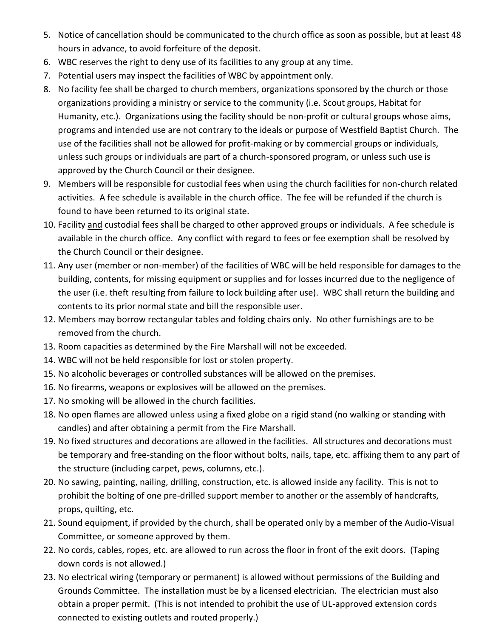- 5. Notice of cancellation should be communicated to the church office as soon as possible, but at least 48 hours in advance, to avoid forfeiture of the deposit.
- 6. WBC reserves the right to deny use of its facilities to any group at any time.
- 7. Potential users may inspect the facilities of WBC by appointment only.
- 8. No facility fee shall be charged to church members, organizations sponsored by the church or those organizations providing a ministry or service to the community (i.e. Scout groups, Habitat for Humanity, etc.). Organizations using the facility should be non-profit or cultural groups whose aims, programs and intended use are not contrary to the ideals or purpose of Westfield Baptist Church. The use of the facilities shall not be allowed for profit-making or by commercial groups or individuals, unless such groups or individuals are part of a church-sponsored program, or unless such use is approved by the Church Council or their designee.
- 9. Members will be responsible for custodial fees when using the church facilities for non-church related activities. A fee schedule is available in the church office. The fee will be refunded if the church is found to have been returned to its original state.
- 10. Facility and custodial fees shall be charged to other approved groups or individuals. A fee schedule is available in the church office. Any conflict with regard to fees or fee exemption shall be resolved by the Church Council or their designee.
- 11. Any user (member or non-member) of the facilities of WBC will be held responsible for damages to the building, contents, for missing equipment or supplies and for losses incurred due to the negligence of the user (i.e. theft resulting from failure to lock building after use). WBC shall return the building and contents to its prior normal state and bill the responsible user.
- 12. Members may borrow rectangular tables and folding chairs only. No other furnishings are to be removed from the church.
- 13. Room capacities as determined by the Fire Marshall will not be exceeded.
- 14. WBC will not be held responsible for lost or stolen property.
- 15. No alcoholic beverages or controlled substances will be allowed on the premises.
- 16. No firearms, weapons or explosives will be allowed on the premises.
- 17. No smoking will be allowed in the church facilities.
- 18. No open flames are allowed unless using a fixed globe on a rigid stand (no walking or standing with candles) and after obtaining a permit from the Fire Marshall.
- 19. No fixed structures and decorations are allowed in the facilities. All structures and decorations must be temporary and free-standing on the floor without bolts, nails, tape, etc. affixing them to any part of the structure (including carpet, pews, columns, etc.).
- 20. No sawing, painting, nailing, drilling, construction, etc. is allowed inside any facility. This is not to prohibit the bolting of one pre-drilled support member to another or the assembly of handcrafts, props, quilting, etc.
- 21. Sound equipment, if provided by the church, shall be operated only by a member of the Audio-Visual Committee, or someone approved by them.
- 22. No cords, cables, ropes, etc. are allowed to run across the floor in front of the exit doors. (Taping down cords is not allowed.)
- 23. No electrical wiring (temporary or permanent) is allowed without permissions of the Building and Grounds Committee. The installation must be by a licensed electrician. The electrician must also obtain a proper permit. (This is not intended to prohibit the use of UL-approved extension cords connected to existing outlets and routed properly.)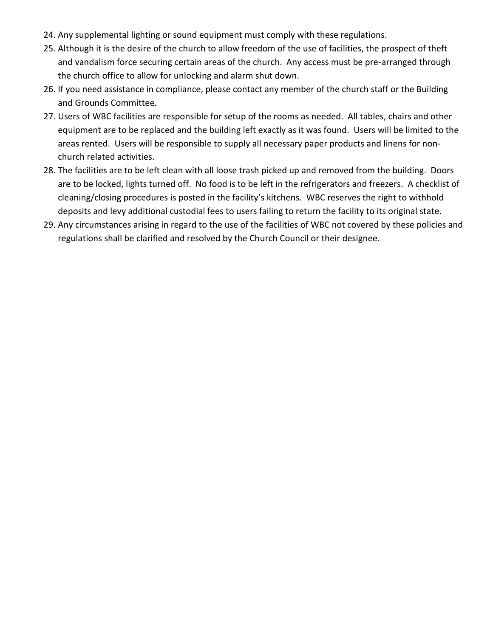- 24. Any supplemental lighting or sound equipment must comply with these regulations.
- 25. Although it is the desire of the church to allow freedom of the use of facilities, the prospect of theft and vandalism force securing certain areas of the church. Any access must be pre-arranged through the church office to allow for unlocking and alarm shut down.
- 26. If you need assistance in compliance, please contact any member of the church staff or the Building and Grounds Committee.
- 27. Users of WBC facilities are responsible for setup of the rooms as needed. All tables, chairs and other equipment are to be replaced and the building left exactly as it was found. Users will be limited to the areas rented. Users will be responsible to supply all necessary paper products and linens for nonchurch related activities.
- 28. The facilities are to be left clean with all loose trash picked up and removed from the building. Doors are to be locked, lights turned off. No food is to be left in the refrigerators and freezers. A checklist of cleaning/closing procedures is posted in the facility's kitchens. WBC reserves the right to withhold deposits and levy additional custodial fees to users failing to return the facility to its original state.
- 29. Any circumstances arising in regard to the use of the facilities of WBC not covered by these policies and regulations shall be clarified and resolved by the Church Council or their designee.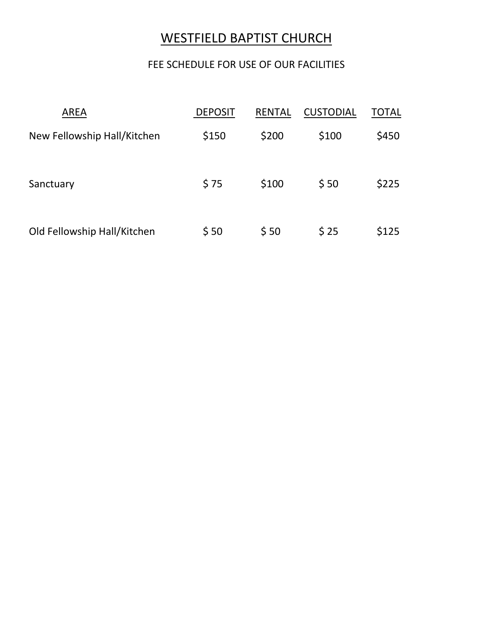# WESTFIELD BAPTIST CHURCH

## FEE SCHEDULE FOR USE OF OUR FACILITIES

| <b>AREA</b>                 | <b>DEPOSIT</b> | <b>RENTAL</b> | <b>CUSTODIAL</b> | TOTAL |
|-----------------------------|----------------|---------------|------------------|-------|
| New Fellowship Hall/Kitchen | \$150          | \$200         | \$100            | \$450 |
| Sanctuary                   | \$75           | \$100         | \$50             | \$225 |
| Old Fellowship Hall/Kitchen | \$50           | \$50          | \$25             | \$125 |